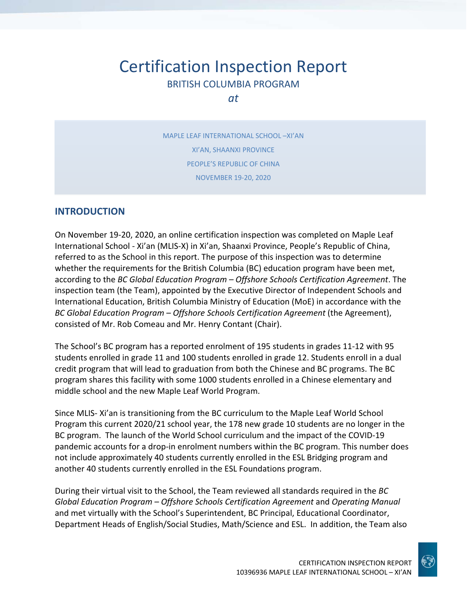# Certification Inspection Report BRITISH COLUMBIA PROGRAM

*at*

MAPLE LEAF INTERNATIONAL SCHOOL –XI'AN XI'AN, SHAANXI PROVINCE PEOPLE'S REPUBLIC OF CHINA NOVEMBER 19‐20, 2020

#### **INTRODUCTION**

On November 19‐20, 2020, an online certification inspection was completed on Maple Leaf International School ‐ Xi'an (MLIS‐X) in Xi'an, Shaanxi Province, People's Republic of China, referred to as the School in this report. The purpose of this inspection was to determine whether the requirements for the British Columbia (BC) education program have been met, according to the *BC Global Education Program – Offshore Schools Certification Agreement*. The inspection team (the Team), appointed by the Executive Director of Independent Schools and International Education, British Columbia Ministry of Education (MoE) in accordance with the *BC Global Education Program – Offshore Schools Certification Agreement* (the Agreement), consisted of Mr. Rob Comeau and Mr. Henry Contant (Chair).

The School's BC program has a reported enrolment of 195 students in grades 11‐12 with 95 students enrolled in grade 11 and 100 students enrolled in grade 12. Students enroll in a dual credit program that will lead to graduation from both the Chinese and BC programs. The BC program shares this facility with some 1000 students enrolled in a Chinese elementary and middle school and the new Maple Leaf World Program.

Since MLIS‐ Xi'an is transitioning from the BC curriculum to the Maple Leaf World School Program this current 2020/21 school year, the 178 new grade 10 students are no longer in the BC program. The launch of the World School curriculum and the impact of the COVID‐19 pandemic accounts for a drop‐in enrolment numbers within the BC program. This number does not include approximately 40 students currently enrolled in the ESL Bridging program and another 40 students currently enrolled in the ESL Foundations program.

During their virtual visit to the School, the Team reviewed all standards required in the *BC Global Education Program – Offshore Schools Certification Agreement* and *Operating Manual* and met virtually with the School's Superintendent, BC Principal, Educational Coordinator, Department Heads of English/Social Studies, Math/Science and ESL. In addition, the Team also

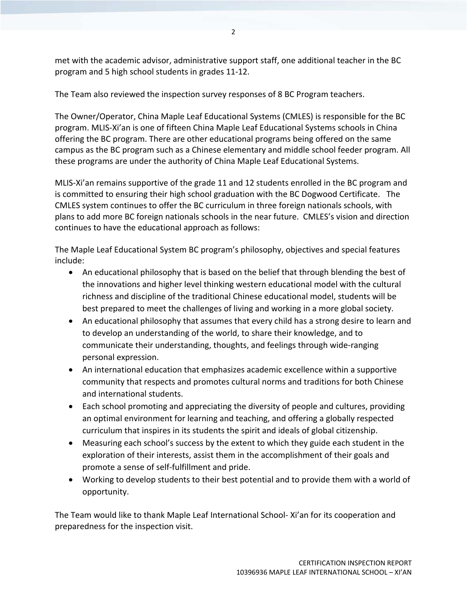met with the academic advisor, administrative support staff, one additional teacher in the BC program and 5 high school students in grades 11‐12.

The Team also reviewed the inspection survey responses of 8 BC Program teachers.

The Owner/Operator, China Maple Leaf Educational Systems (CMLES) is responsible for the BC program. MLIS‐Xi'an is one of fifteen China Maple Leaf Educational Systems schools in China offering the BC program. There are other educational programs being offered on the same campus as the BC program such as a Chinese elementary and middle school feeder program. All these programs are under the authority of China Maple Leaf Educational Systems.

MLIS‐Xi'an remains supportive of the grade 11 and 12 students enrolled in the BC program and is committed to ensuring their high school graduation with the BC Dogwood Certificate. The CMLES system continues to offer the BC curriculum in three foreign nationals schools, with plans to add more BC foreign nationals schools in the near future. CMLES's vision and direction continues to have the educational approach as follows:

The Maple Leaf Educational System BC program's philosophy, objectives and special features include:

- An educational philosophy that is based on the belief that through blending the best of the innovations and higher level thinking western educational model with the cultural richness and discipline of the traditional Chinese educational model, students will be best prepared to meet the challenges of living and working in a more global society.
- An educational philosophy that assumes that every child has a strong desire to learn and to develop an understanding of the world, to share their knowledge, and to communicate their understanding, thoughts, and feelings through wide‐ranging personal expression.
- An international education that emphasizes academic excellence within a supportive community that respects and promotes cultural norms and traditions for both Chinese and international students.
- Each school promoting and appreciating the diversity of people and cultures, providing an optimal environment for learning and teaching, and offering a globally respected curriculum that inspires in its students the spirit and ideals of global citizenship.
- Measuring each school's success by the extent to which they guide each student in the exploration of their interests, assist them in the accomplishment of their goals and promote a sense of self‐fulfillment and pride.
- Working to develop students to their best potential and to provide them with a world of opportunity.

The Team would like to thank Maple Leaf International School‐ Xi'an for its cooperation and preparedness for the inspection visit.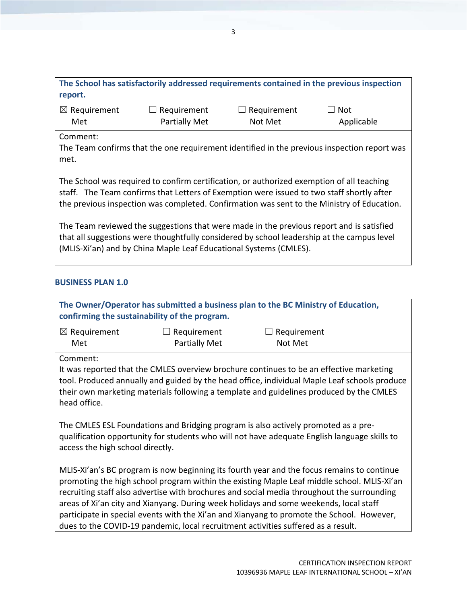| The School has satisfactorily addressed requirements contained in the previous inspection<br>report.                                                                                                                                                                                 |                                            |                             |                                                                                             |  |
|--------------------------------------------------------------------------------------------------------------------------------------------------------------------------------------------------------------------------------------------------------------------------------------|--------------------------------------------|-----------------------------|---------------------------------------------------------------------------------------------|--|
| $\boxtimes$ Requirement<br>Met                                                                                                                                                                                                                                                       | $\Box$ Requirement<br><b>Partially Met</b> | Requirement<br>⊔<br>Not Met | $\Box$ Not<br>Applicable                                                                    |  |
| Comment:<br>met.                                                                                                                                                                                                                                                                     |                                            |                             | The Team confirms that the one requirement identified in the previous inspection report was |  |
| The School was required to confirm certification, or authorized exemption of all teaching<br>staff. The Team confirms that Letters of Exemption were issued to two staff shortly after<br>the previous inspection was completed. Confirmation was sent to the Ministry of Education. |                                            |                             |                                                                                             |  |
| The Team reviewed the suggestions that were made in the previous report and is satisfied<br>that all suggestions were thoughtfully considered by school leadership at the campus level<br>(MLIS-Xi'an) and by China Maple Leaf Educational Systems (CMLES).                          |                                            |                             |                                                                                             |  |

## **BUSINESS PLAN 1.0**

|                                                                                                                                                                                                                        |                                               | The Owner/Operator has submitted a business plan to the BC Ministry of Education,                                                                                                                                                                                                                                                                                                                                                                                                                                                                                 |  |
|------------------------------------------------------------------------------------------------------------------------------------------------------------------------------------------------------------------------|-----------------------------------------------|-------------------------------------------------------------------------------------------------------------------------------------------------------------------------------------------------------------------------------------------------------------------------------------------------------------------------------------------------------------------------------------------------------------------------------------------------------------------------------------------------------------------------------------------------------------------|--|
|                                                                                                                                                                                                                        | confirming the sustainability of the program. |                                                                                                                                                                                                                                                                                                                                                                                                                                                                                                                                                                   |  |
| $\boxtimes$ Requirement                                                                                                                                                                                                | Requirement<br>$\perp$                        | Requirement                                                                                                                                                                                                                                                                                                                                                                                                                                                                                                                                                       |  |
| Met                                                                                                                                                                                                                    | <b>Partially Met</b>                          | Not Met                                                                                                                                                                                                                                                                                                                                                                                                                                                                                                                                                           |  |
| Comment:                                                                                                                                                                                                               |                                               |                                                                                                                                                                                                                                                                                                                                                                                                                                                                                                                                                                   |  |
| head office.                                                                                                                                                                                                           |                                               | It was reported that the CMLES overview brochure continues to be an effective marketing<br>tool. Produced annually and guided by the head office, individual Maple Leaf schools produce<br>their own marketing materials following a template and guidelines produced by the CMLES                                                                                                                                                                                                                                                                                |  |
| The CMLES ESL Foundations and Bridging program is also actively promoted as a pre-<br>qualification opportunity for students who will not have adequate English language skills to<br>access the high school directly. |                                               |                                                                                                                                                                                                                                                                                                                                                                                                                                                                                                                                                                   |  |
|                                                                                                                                                                                                                        |                                               | MLIS-Xi'an's BC program is now beginning its fourth year and the focus remains to continue<br>promoting the high school program within the existing Maple Leaf middle school. MLIS-Xi'an<br>recruiting staff also advertise with brochures and social media throughout the surrounding<br>areas of Xi'an city and Xianyang. During week holidays and some weekends, local staff<br>participate in special events with the Xi'an and Xianyang to promote the School. However,<br>dues to the COVID-19 pandemic, local recruitment activities suffered as a result. |  |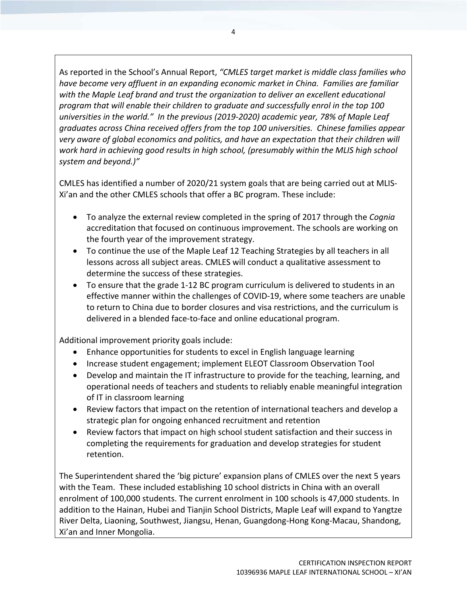As reported in the School's Annual Report, *"CMLES target market is middle class families who have become very affluent in an expanding economic market in China. Families are familiar with the Maple Leaf brand and trust the organization to deliver an excellent educational program that will enable their children to graduate and successfully enrol in the top 100 universities in the world." In the previous (2019‐2020) academic year, 78% of Maple Leaf graduates across China received offers from the top 100 universities. Chinese families appear very aware of global economics and politics, and have an expectation that their children will work hard in achieving good results in high school, (presumably within the MLIS high school system and beyond.)"*

CMLES has identified a number of 2020/21 system goals that are being carried out at MLIS‐ Xi'an and the other CMLES schools that offer a BC program. These include:

- To analyze the external review completed in the spring of 2017 through the *Cognia* accreditation that focused on continuous improvement. The schools are working on the fourth year of the improvement strategy.
- To continue the use of the Maple Leaf 12 Teaching Strategies by all teachers in all lessons across all subject areas. CMLES will conduct a qualitative assessment to determine the success of these strategies.
- To ensure that the grade 1‐12 BC program curriculum is delivered to students in an effective manner within the challenges of COVID‐19, where some teachers are unable to return to China due to border closures and visa restrictions, and the curriculum is delivered in a blended face‐to‐face and online educational program.

Additional improvement priority goals include:

- Enhance opportunities for students to excel in English language learning
- Increase student engagement; implement ELEOT Classroom Observation Tool
- Develop and maintain the IT infrastructure to provide for the teaching, learning, and operational needs of teachers and students to reliably enable meaningful integration of IT in classroom learning
- Review factors that impact on the retention of international teachers and develop a strategic plan for ongoing enhanced recruitment and retention
- Review factors that impact on high school student satisfaction and their success in completing the requirements for graduation and develop strategies for student retention.

The Superintendent shared the 'big picture' expansion plans of CMLES over the next 5 years with the Team. These included establishing 10 school districts in China with an overall enrolment of 100,000 students. The current enrolment in 100 schools is 47,000 students. In addition to the Hainan, Hubei and Tianjin School Districts, Maple Leaf will expand to Yangtze River Delta, Liaoning, Southwest, Jiangsu, Henan, Guangdong‐Hong Kong‐Macau, Shandong, Xi'an and Inner Mongolia.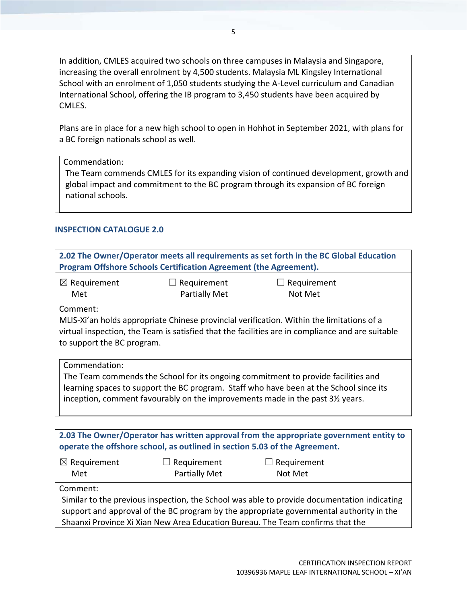In addition, CMLES acquired two schools on three campuses in Malaysia and Singapore, increasing the overall enrolment by 4,500 students. Malaysia ML Kingsley International School with an enrolment of 1,050 students studying the A‐Level curriculum and Canadian International School, offering the IB program to 3,450 students have been acquired by CMLES.

Plans are in place for a new high school to open in Hohhot in September 2021, with plans for a BC foreign nationals school as well.

Commendation:

The Team commends CMLES for its expanding vision of continued development, growth and global impact and commitment to the BC program through its expansion of BC foreign national schools.

#### **INSPECTION CATALOGUE 2.0**

| $\boxtimes$ Requirement<br>$\Box$ Requirement<br>Requirement<br>ப<br>Partially Met<br>Met<br>Not Met<br>Comment:<br>MLIS-Xi'an holds appropriate Chinese provincial verification. Within the limitations of a<br>virtual inspection, the Team is satisfied that the facilities are in compliance and are suitable<br>to support the BC program.<br>Commendation: | 2.02 The Owner/Operator meets all requirements as set forth in the BC Global Education<br>Program Offshore Schools Certification Agreement (the Agreement). |  |  |  |
|------------------------------------------------------------------------------------------------------------------------------------------------------------------------------------------------------------------------------------------------------------------------------------------------------------------------------------------------------------------|-------------------------------------------------------------------------------------------------------------------------------------------------------------|--|--|--|
|                                                                                                                                                                                                                                                                                                                                                                  |                                                                                                                                                             |  |  |  |
|                                                                                                                                                                                                                                                                                                                                                                  |                                                                                                                                                             |  |  |  |
| The Team commends the School for its ongoing commitment to provide facilities and<br>learning spaces to support the BC program. Staff who have been at the School since its<br>inception, comment favourably on the improvements made in the past 31/2 years.                                                                                                    |                                                                                                                                                             |  |  |  |

| 2.03 The Owner/Operator has written approval from the appropriate government entity to<br>operate the offshore school, as outlined in section 5.03 of the Agreement. |                    |                                                                                             |  |  |
|----------------------------------------------------------------------------------------------------------------------------------------------------------------------|--------------------|---------------------------------------------------------------------------------------------|--|--|
| $\boxtimes$ Requirement                                                                                                                                              | $\Box$ Requirement | $\Box$ Requirement                                                                          |  |  |
| Met                                                                                                                                                                  | Partially Met      | Not Met                                                                                     |  |  |
| Comment:                                                                                                                                                             |                    |                                                                                             |  |  |
|                                                                                                                                                                      |                    | Similar to the previous inspection, the School was able to provide documentation indicating |  |  |
| support and approval of the BC program by the appropriate governmental authority in the                                                                              |                    |                                                                                             |  |  |
|                                                                                                                                                                      |                    | Shaanxi Province Xi Xian New Area Education Bureau. The Team confirms that the              |  |  |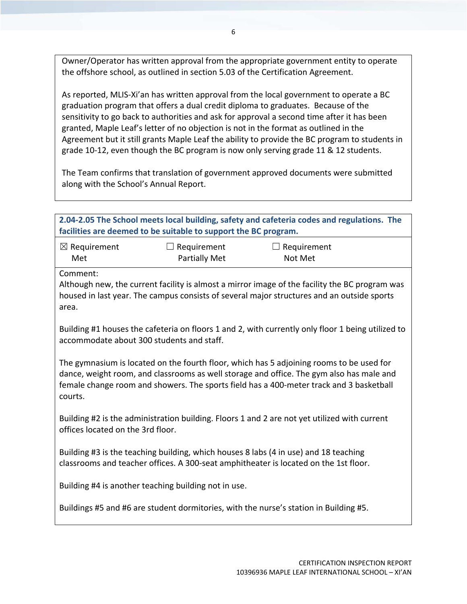Owner/Operator has written approval from the appropriate government entity to operate the offshore school, as outlined in section 5.03 of the Certification Agreement.

As reported, MLIS-Xi'an has written approval from the local government to operate a BC graduation program that offers a dual credit diploma to graduates. Because of the sensitivity to go back to authorities and ask for approval a second time after it has been granted, Maple Leaf's letter of no objection is not in the format as outlined in the Agreement but it still grants Maple Leaf the ability to provide the BC program to students in grade 10‐12, even though the BC program is now only serving grade 11 & 12 students.

The Team confirms that translation of government approved documents were submitted along with the School's Annual Report.

| facilities are deemed to be suitable to support the BC program.                                                                                                                                                                                                                            |                                     | 2.04-2.05 The School meets local building, safety and cafeteria codes and regulations. The                                                                                                   |  |  |
|--------------------------------------------------------------------------------------------------------------------------------------------------------------------------------------------------------------------------------------------------------------------------------------------|-------------------------------------|----------------------------------------------------------------------------------------------------------------------------------------------------------------------------------------------|--|--|
| $\boxtimes$ Requirement<br>Met                                                                                                                                                                                                                                                             | $\Box$ Requirement<br>Partially Met | $\Box$ Requirement<br>Not Met                                                                                                                                                                |  |  |
| Comment:<br>area.                                                                                                                                                                                                                                                                          |                                     | Although new, the current facility is almost a mirror image of the facility the BC program was<br>housed in last year. The campus consists of several major structures and an outside sports |  |  |
| Building #1 houses the cafeteria on floors 1 and 2, with currently only floor 1 being utilized to<br>accommodate about 300 students and staff.                                                                                                                                             |                                     |                                                                                                                                                                                              |  |  |
| The gymnasium is located on the fourth floor, which has 5 adjoining rooms to be used for<br>dance, weight room, and classrooms as well storage and office. The gym also has male and<br>female change room and showers. The sports field has a 400-meter track and 3 basketball<br>courts. |                                     |                                                                                                                                                                                              |  |  |
| offices located on the 3rd floor.                                                                                                                                                                                                                                                          |                                     | Building #2 is the administration building. Floors 1 and 2 are not yet utilized with current                                                                                                 |  |  |
| Building #3 is the teaching building, which houses 8 labs (4 in use) and 18 teaching<br>classrooms and teacher offices. A 300-seat amphitheater is located on the 1st floor.                                                                                                               |                                     |                                                                                                                                                                                              |  |  |
| Building #4 is another teaching building not in use.                                                                                                                                                                                                                                       |                                     |                                                                                                                                                                                              |  |  |
|                                                                                                                                                                                                                                                                                            |                                     | Buildings #5 and #6 are student dormitories, with the nurse's station in Building #5.                                                                                                        |  |  |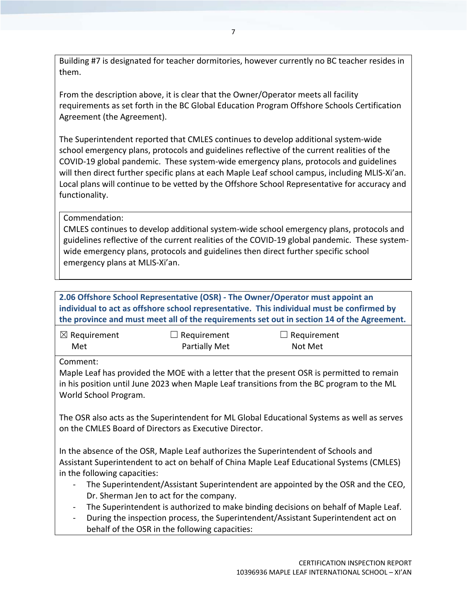Building #7 is designated for teacher dormitories, however currently no BC teacher resides in them.

From the description above, it is clear that the Owner/Operator meets all facility requirements as set forth in the BC Global Education Program Offshore Schools Certification Agreement (the Agreement).

The Superintendent reported that CMLES continues to develop additional system‐wide school emergency plans, protocols and guidelines reflective of the current realities of the COVID‐19 global pandemic. These system‐wide emergency plans, protocols and guidelines will then direct further specific plans at each Maple Leaf school campus, including MLIS‐Xi'an. Local plans will continue to be vetted by the Offshore School Representative for accuracy and functionality.

Commendation:

CMLES continues to develop additional system‐wide school emergency plans, protocols and guidelines reflective of the current realities of the COVID‐19 global pandemic. These system‐ wide emergency plans, protocols and guidelines then direct further specific school emergency plans at MLIS‐Xi'an.

**2.06 Offshore School Representative (OSR) ‐ The Owner/Operator must appoint an individual to act as offshore school representative. This individual must be confirmed by the province and must meet all of the requirements set out in section 14 of the Agreement.**

| $\boxtimes$ Requirement | $\Box$ Requirement   | $\Box$ Requirement |
|-------------------------|----------------------|--------------------|
| Met                     | <b>Partially Met</b> | Not Met            |

Comment:

Maple Leaf has provided the MOE with a letter that the present OSR is permitted to remain in his position until June 2023 when Maple Leaf transitions from the BC program to the ML World School Program.

The OSR also acts as the Superintendent for ML Global Educational Systems as well as serves on the CMLES Board of Directors as Executive Director.

In the absence of the OSR, Maple Leaf authorizes the Superintendent of Schools and Assistant Superintendent to act on behalf of China Maple Leaf Educational Systems (CMLES) in the following capacities:

- ‐ The Superintendent/Assistant Superintendent are appointed by the OSR and the CEO, Dr. Sherman Jen to act for the company.
- The Superintendent is authorized to make binding decisions on behalf of Maple Leaf.
- ‐ During the inspection process, the Superintendent/Assistant Superintendent act on behalf of the OSR in the following capacities: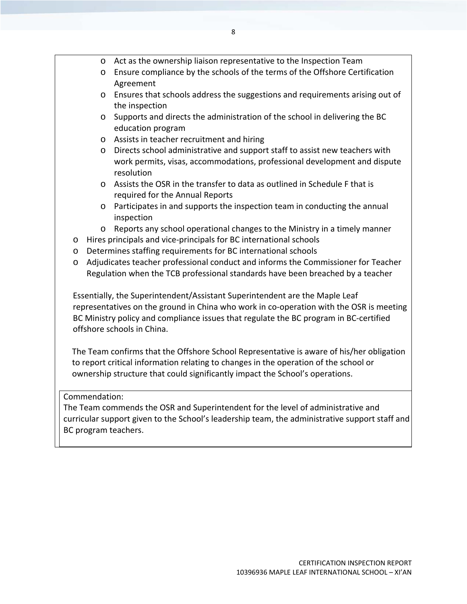- o Act as the ownership liaison representative to the Inspection Team
- o Ensure compliance by the schools of the terms of the Offshore Certification Agreement
- o Ensures that schools address the suggestions and requirements arising out of the inspection
- o Supports and directs the administration of the school in delivering the BC education program
- o Assists in teacher recruitment and hiring
- o Directs school administrative and support staff to assist new teachers with work permits, visas, accommodations, professional development and dispute resolution
- o Assists the OSR in the transfer to data as outlined in Schedule F that is required for the Annual Reports
- o Participates in and supports the inspection team in conducting the annual inspection
- $\circ$  Reports any school operational changes to the Ministry in a timely manner
- o Hires principals and vice‐principals for BC international schools
- o Determines staffing requirements for BC international schools
- o Adjudicates teacher professional conduct and informs the Commissioner for Teacher Regulation when the TCB professional standards have been breached by a teacher

Essentially, the Superintendent/Assistant Superintendent are the Maple Leaf representatives on the ground in China who work in co-operation with the OSR is meeting BC Ministry policy and compliance issues that regulate the BC program in BC‐certified offshore schools in China.

The Team confirms that the Offshore School Representative is aware of his/her obligation to report critical information relating to changes in the operation of the school or ownership structure that could significantly impact the School's operations.

#### Commendation:

The Team commends the OSR and Superintendent for the level of administrative and curricular support given to the School's leadership team, the administrative support staff and BC program teachers.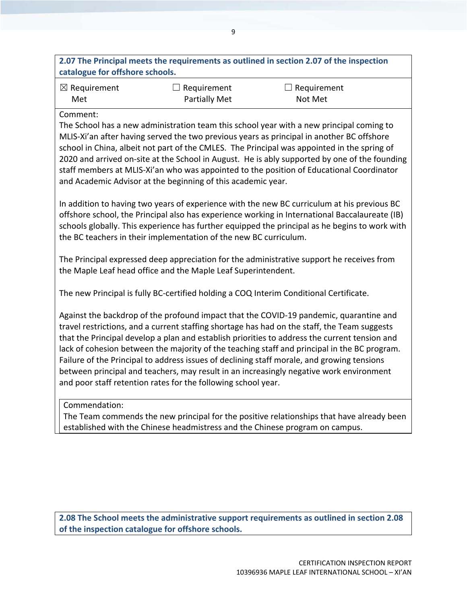| 2.07 The Principal meets the requirements as outlined in section 2.07 of the inspection |  |
|-----------------------------------------------------------------------------------------|--|
| catalogue for offshore schools.                                                         |  |

| $\boxtimes$ Requirement | $\Box$ Requirement   | $\Box$ Requirement |  |
|-------------------------|----------------------|--------------------|--|
| Met                     | <b>Partially Met</b> | Not Met            |  |

The School has a new administration team this school year with a new principal coming to MLIS‐Xi'an after having served the two previous years as principal in another BC offshore school in China, albeit not part of the CMLES. The Principal was appointed in the spring of 2020 and arrived on‐site at the School in August. He is ably supported by one of the founding staff members at MLIS‐Xi'an who was appointed to the position of Educational Coordinator and Academic Advisor at the beginning of this academic year.

In addition to having two years of experience with the new BC curriculum at his previous BC offshore school, the Principal also has experience working in International Baccalaureate (IB) schools globally. This experience has further equipped the principal as he begins to work with the BC teachers in their implementation of the new BC curriculum.

The Principal expressed deep appreciation for the administrative support he receives from the Maple Leaf head office and the Maple Leaf Superintendent.

The new Principal is fully BC‐certified holding a COQ Interim Conditional Certificate.

Against the backdrop of the profound impact that the COVID‐19 pandemic, quarantine and travel restrictions, and a current staffing shortage has had on the staff, the Team suggests that the Principal develop a plan and establish priorities to address the current tension and lack of cohesion between the majority of the teaching staff and principal in the BC program. Failure of the Principal to address issues of declining staff morale, and growing tensions between principal and teachers, may result in an increasingly negative work environment and poor staff retention rates for the following school year.

Commendation:

The Team commends the new principal for the positive relationships that have already been established with the Chinese headmistress and the Chinese program on campus.

**2.08 The School meets the administrative support requirements as outlined in section 2.08 of the inspection catalogue for offshore schools.**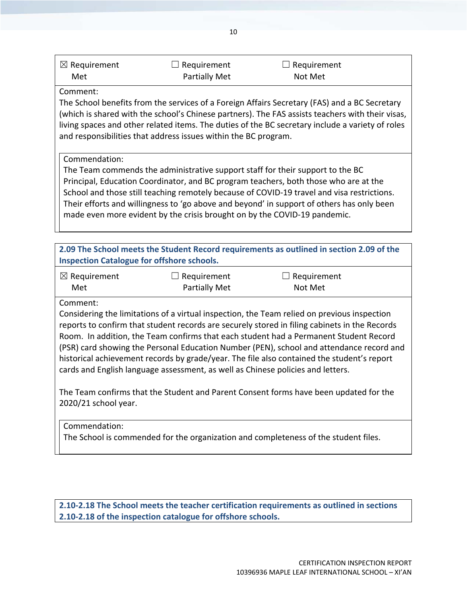| <b>Partially Met</b><br>Met | $\Box$ Requirement |
|-----------------------------|--------------------|
|                             | Not Met            |

The School benefits from the services of a Foreign Affairs Secretary (FAS) and a BC Secretary (which is shared with the school's Chinese partners). The FAS assists teachers with their visas, living spaces and other related items. The duties of the BC secretary include a variety of roles and responsibilities that address issues within the BC program.

#### Commendation:

The Team commends the administrative support staff for their support to the BC Principal, Education Coordinator, and BC program teachers, both those who are at the School and those still teaching remotely because of COVID‐19 travel and visa restrictions. Their efforts and willingness to 'go above and beyond' in support of others has only been made even more evident by the crisis brought on by the COVID‐19 pandemic.

| 2.09 The School meets the Student Record requirements as outlined in section 2.09 of the |
|------------------------------------------------------------------------------------------|
| <b>Inspection Catalogue for offshore schools.</b>                                        |

| $\boxtimes$ Requirement | $\Box$ Requirement   | $\Box$ Requirement |
|-------------------------|----------------------|--------------------|
| Met                     | <b>Partially Met</b> | Not Met            |

Comment:

Considering the limitations of a virtual inspection, the Team relied on previous inspection reports to confirm that student records are securely stored in filing cabinets in the Records Room. In addition, the Team confirms that each student had a Permanent Student Record (PSR) card showing the Personal Education Number (PEN), school and attendance record and historical achievement records by grade/year. The file also contained the student's report cards and English language assessment, as well as Chinese policies and letters.

The Team confirms that the Student and Parent Consent forms have been updated for the 2020/21 school year.

#### Commendation:

The School is commended for the organization and completeness of the student files.

**2.10‐2.18 The School meets the teacher certification requirements as outlined in sections 2.10‐2.18 of the inspection catalogue for offshore schools.**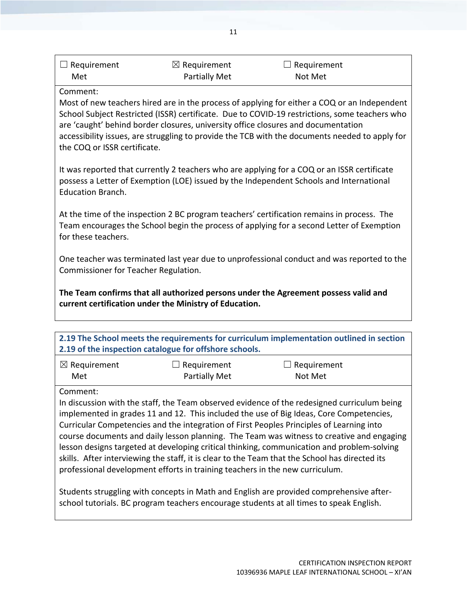| $\Box$ Requirement | $\boxtimes$ Requirement | $\Box$ Requirement |  |
|--------------------|-------------------------|--------------------|--|
| Met                | <b>Partially Met</b>    | Not Met            |  |

Most of new teachers hired are in the process of applying for either a COQ or an Independent School Subject Restricted (ISSR) certificate. Due to COVID‐19 restrictions, some teachers who are 'caught' behind border closures, university office closures and documentation accessibility issues, are struggling to provide the TCB with the documents needed to apply for the COQ or ISSR certificate.

It was reported that currently 2 teachers who are applying for a COQ or an ISSR certificate possess a Letter of Exemption (LOE) issued by the Independent Schools and International Education Branch.

At the time of the inspection 2 BC program teachers' certification remains in process. The Team encourages the School begin the process of applying for a second Letter of Exemption for these teachers.

One teacher was terminated last year due to unprofessional conduct and was reported to the Commissioner for Teacher Regulation.

**The Team confirms that all authorized persons under the Agreement possess valid and current certification under the Ministry of Education.**

|                                | 2.19 of the inspection catalogue for offshore schools. | 2.19 The School meets the requirements for curriculum implementation outlined in section    |
|--------------------------------|--------------------------------------------------------|---------------------------------------------------------------------------------------------|
| $\boxtimes$ Requirement<br>Met | $\Box$ Requirement<br><b>Partially Met</b>             | $\Box$ Requirement<br>Not Met                                                               |
| Comment:                       |                                                        | In discussion with the staff, the Team observed ovidence of the redesigned curriculum being |

In discussion with the staff, the Team observed evidence of the redesigned curriculum being implemented in grades 11 and 12. This included the use of Big Ideas, Core Competencies, Curricular Competencies and the integration of First Peoples Principles of Learning into course documents and daily lesson planning. The Team was witness to creative and engaging lesson designs targeted at developing critical thinking, communication and problem‐solving skills. After interviewing the staff, it is clear to the Team that the School has directed its professional development efforts in training teachers in the new curriculum.

Students struggling with concepts in Math and English are provided comprehensive after‐ school tutorials. BC program teachers encourage students at all times to speak English.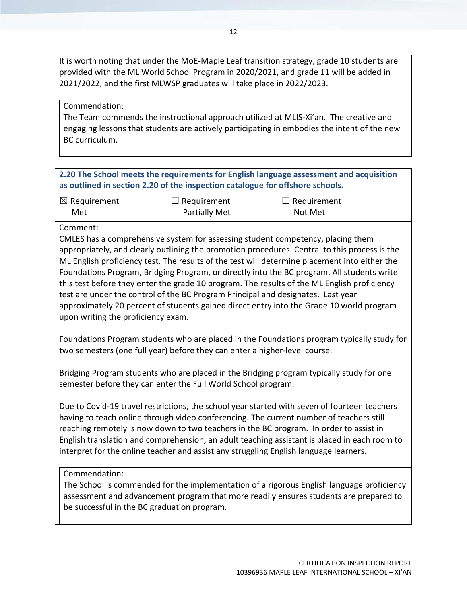It is worth noting that under the MoE‐Maple Leaf transition strategy, grade 10 students are provided with the ML World School Program in 2020/2021, and grade 11 will be added in 2021/2022, and the first MLWSP graduates will take place in 2022/2023.

#### Commendation:

The Team commends the instructional approach utilized at MLIS‐Xi'an. The creative and engaging lessons that students are actively participating in embodies the intent of the new BC curriculum.

#### **2.20 The School meets the requirements for English language assessment and acquisition as outlined in section 2.20 of the inspection catalogue for offshore schools.**

| $\boxtimes$ Requirement | $\Box$ Requirement   | $\Box$ Requirement |
|-------------------------|----------------------|--------------------|
| Met                     | <b>Partially Met</b> | Not Met            |

#### Comment:

CMLES has a comprehensive system for assessing student competency, placing them appropriately, and clearly outlining the promotion procedures. Central to this process is the ML English proficiency test. The results of the test will determine placement into either the Foundations Program, Bridging Program, or directly into the BC program. All students write this test before they enter the grade 10 program. The results of the ML English proficiency test are under the control of the BC Program Principal and designates. Last year approximately 20 percent of students gained direct entry into the Grade 10 world program upon writing the proficiency exam.

Foundations Program students who are placed in the Foundations program typically study for two semesters (one full year) before they can enter a higher‐level course.

Bridging Program students who are placed in the Bridging program typically study for one semester before they can enter the Full World School program.

Due to Covid-19 travel restrictions, the school year started with seven of fourteen teachers having to teach online through video conferencing. The current number of teachers still reaching remotely is now down to two teachers in the BC program. In order to assist in English translation and comprehension, an adult teaching assistant is placed in each room to interpret for the online teacher and assist any struggling English language learners.

#### Commendation:

The School is commended for the implementation of a rigorous English language proficiency assessment and advancement program that more readily ensures students are prepared to be successful in the BC graduation program.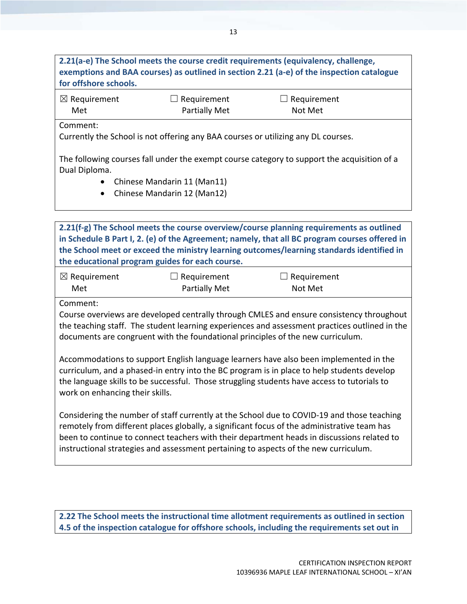| for offshore schools.   |                                                                                   | 2.21(a-e) The School meets the course credit requirements (equivalency, challenge,<br>exemptions and BAA courses) as outlined in section 2.21 (a-e) of the inspection catalogue |  |
|-------------------------|-----------------------------------------------------------------------------------|---------------------------------------------------------------------------------------------------------------------------------------------------------------------------------|--|
| $\boxtimes$ Requirement | Requirement                                                                       | $\Box$ Requirement                                                                                                                                                              |  |
| Met                     | Partially Met                                                                     | Not Met                                                                                                                                                                         |  |
| Comment:                |                                                                                   |                                                                                                                                                                                 |  |
|                         | Currently the School is not offering any BAA courses or utilizing any DL courses. |                                                                                                                                                                                 |  |
|                         |                                                                                   | The following courses fall under the exempt course category to support the acquisition of a                                                                                     |  |
| Dual Diploma.           |                                                                                   |                                                                                                                                                                                 |  |
| $\bullet$               | Chinese Mandarin 11 (Man11)                                                       |                                                                                                                                                                                 |  |
| $\bullet$               | Chinese Mandarin 12 (Man12)                                                       |                                                                                                                                                                                 |  |

**2.21(f‐g) The School meets the course overview/course planning requirements as outlined in Schedule B Part I, 2. (e) of the Agreement; namely, that all BC program courses offered in the School meet or exceed the ministry learning outcomes/learning standards identified in the educational program guides for each course.**

| $\boxtimes$ Requirement | $\Box$ Requirement | $\Box$ Requirement |
|-------------------------|--------------------|--------------------|
| Met                     | Partially Met      | Not Met            |

Comment:

Course overviews are developed centrally through CMLES and ensure consistency throughout the teaching staff. The student learning experiences and assessment practices outlined in the documents are congruent with the foundational principles of the new curriculum.

Accommodations to support English language learners have also been implemented in the curriculum, and a phased‐in entry into the BC program is in place to help students develop the language skills to be successful. Those struggling students have access to tutorials to work on enhancing their skills.

Considering the number of staff currently at the School due to COVID‐19 and those teaching remotely from different places globally, a significant focus of the administrative team has been to continue to connect teachers with their department heads in discussions related to instructional strategies and assessment pertaining to aspects of the new curriculum.

**2.22 The School meets the instructional time allotment requirements as outlined in section 4.5 of the inspection catalogue for offshore schools, including the requirements set out in**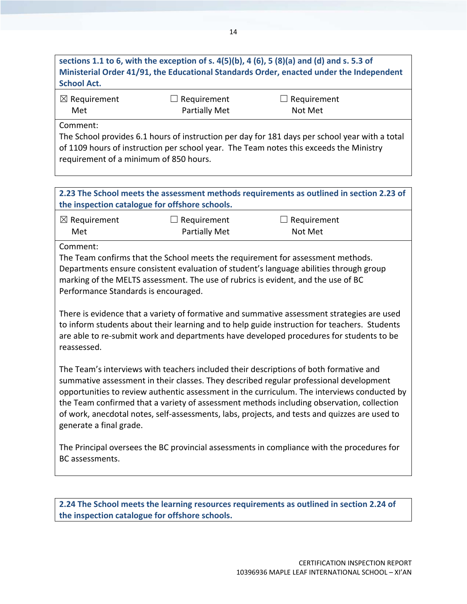## sections 1.1 to 6, with the exception of s.  $4(5)(b)$ , 4 (6), 5 (8)(a) and (d) and s. 5.3 of **Ministerial Order 41/91, the Educational Standards Order, enacted under the Independent School Act.**

| $\boxtimes$ Requirement | $\Box$ Requirement   | $\Box$ Requirement |  |
|-------------------------|----------------------|--------------------|--|
| Met                     | <b>Partially Met</b> | Not Met            |  |

Comment:

The School provides 6.1 hours of instruction per day for 181 days per school year with a total of 1109 hours of instruction per school year. The Team notes this exceeds the Ministry requirement of a minimum of 850 hours.

#### **2.23 The School meets the assessment methods requirements as outlined in section 2.23 of the inspection catalogue for offshore schools.**

| $\boxtimes$ Requirement | $\Box$ Requirement   | $\Box$ Requirement |
|-------------------------|----------------------|--------------------|
| Met                     | <b>Partially Met</b> | Not Met            |

Comment:

The Team confirms that the School meets the requirement for assessment methods. Departments ensure consistent evaluation of student's language abilities through group marking of the MELTS assessment. The use of rubrics is evident, and the use of BC Performance Standards is encouraged.

There is evidence that a variety of formative and summative assessment strategies are used to inform students about their learning and to help guide instruction for teachers. Students are able to re‐submit work and departments have developed procedures for students to be reassessed.

The Team's interviews with teachers included their descriptions of both formative and summative assessment in their classes. They described regular professional development opportunities to review authentic assessment in the curriculum. The interviews conducted by the Team confirmed that a variety of assessment methods including observation, collection of work, anecdotal notes, self‐assessments, labs, projects, and tests and quizzes are used to generate a final grade.

The Principal oversees the BC provincial assessments in compliance with the procedures for BC assessments.

**2.24 The School meets the learning resources requirements as outlined in section 2.24 of the inspection catalogue for offshore schools.**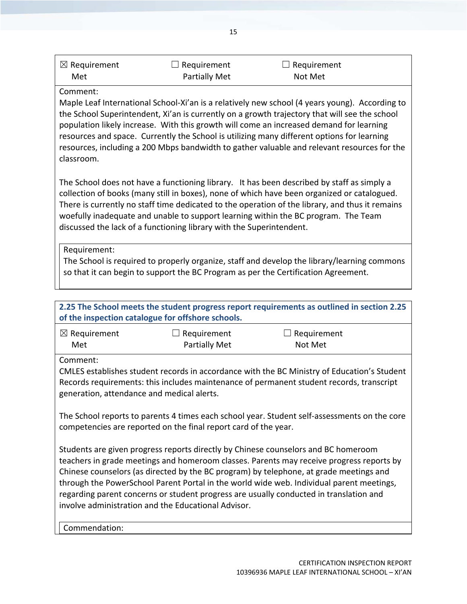| $\boxtimes$ Requirement | $\Box$ Requirement | $\Box$ Requirement |  |
|-------------------------|--------------------|--------------------|--|
| Met                     | Partially Met      | Not Met            |  |

Maple Leaf International School‐Xi'an is a relatively new school (4 years young). According to the School Superintendent, Xi'an is currently on a growth trajectory that will see the school population likely increase. With this growth will come an increased demand for learning resources and space. Currently the School is utilizing many different options for learning resources, including a 200 Mbps bandwidth to gather valuable and relevant resources for the classroom.

The School does not have a functioning library. It has been described by staff as simply a collection of books (many still in boxes), none of which have been organized or catalogued. There is currently no staff time dedicated to the operation of the library, and thus it remains woefully inadequate and unable to support learning within the BC program. The Team discussed the lack of a functioning library with the Superintendent.

Requirement:

The School is required to properly organize, staff and develop the library/learning commons so that it can begin to support the BC Program as per the Certification Agreement.

| 2.25 The School meets the student progress report requirements as outlined in section 2.25<br>of the inspection catalogue for offshore schools.                                                                                                                                                                                                                                                                                                                                                                       |                                     |                        |  |
|-----------------------------------------------------------------------------------------------------------------------------------------------------------------------------------------------------------------------------------------------------------------------------------------------------------------------------------------------------------------------------------------------------------------------------------------------------------------------------------------------------------------------|-------------------------------------|------------------------|--|
| $\boxtimes$ Requirement<br>Met                                                                                                                                                                                                                                                                                                                                                                                                                                                                                        | Requirement<br><b>Partially Met</b> | Requirement<br>Not Met |  |
| Comment:<br>CMLES establishes student records in accordance with the BC Ministry of Education's Student<br>Records requirements: this includes maintenance of permanent student records, transcript<br>generation, attendance and medical alerts.                                                                                                                                                                                                                                                                     |                                     |                        |  |
| The School reports to parents 4 times each school year. Student self-assessments on the core<br>competencies are reported on the final report card of the year.                                                                                                                                                                                                                                                                                                                                                       |                                     |                        |  |
| Students are given progress reports directly by Chinese counselors and BC homeroom<br>teachers in grade meetings and homeroom classes. Parents may receive progress reports by<br>Chinese counselors (as directed by the BC program) by telephone, at grade meetings and<br>through the PowerSchool Parent Portal in the world wide web. Individual parent meetings,<br>regarding parent concerns or student progress are usually conducted in translation and<br>involve administration and the Educational Advisor. |                                     |                        |  |

Commendation: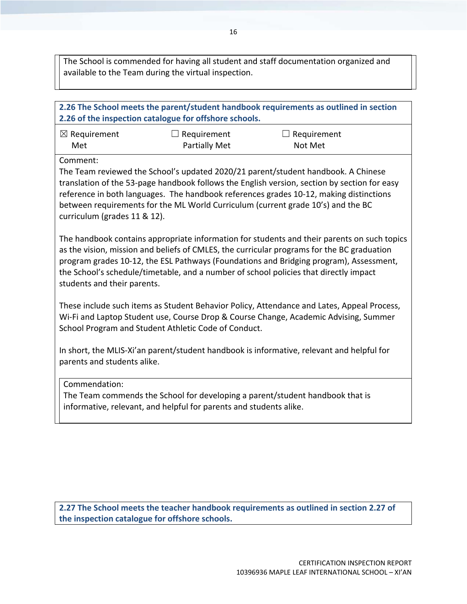The School is commended for having all student and staff documentation organized and available to the Team during the virtual inspection.

## **2.26 The School meets the parent/student handbook requirements as outlined in section 2.26 of the inspection catalogue for offshore schools.** ☒ Requirement Met  $\Box$  Requirement Partially Met  $\Box$  Requirement Not Met Comment: The Team reviewed the School's updated 2020/21 parent/student handbook. A Chinese translation of the 53‐page handbook follows the English version, section by section for easy reference in both languages. The handbook references grades 10‐12, making distinctions between requirements for the ML World Curriculum (current grade 10's) and the BC curriculum (grades 11 & 12). The handbook contains appropriate information for students and their parents on such topics as the vision, mission and beliefs of CMLES, the curricular programs for the BC graduation program grades 10‐12, the ESL Pathways (Foundations and Bridging program), Assessment, the School's schedule/timetable, and a number of school policies that directly impact students and their parents. These include such items as Student Behavior Policy, Attendance and Lates, Appeal Process, Wi‐Fi and Laptop Student use, Course Drop & Course Change, Academic Advising, Summer School Program and Student Athletic Code of Conduct. In short, the MLIS‐Xi'an parent/student handbook is informative, relevant and helpful for parents and students alike. Commendation:

The Team commends the School for developing a parent/student handbook that is informative, relevant, and helpful for parents and students alike.

**2.27 The School meets the teacher handbook requirements as outlined in section 2.27 of the inspection catalogue for offshore schools.**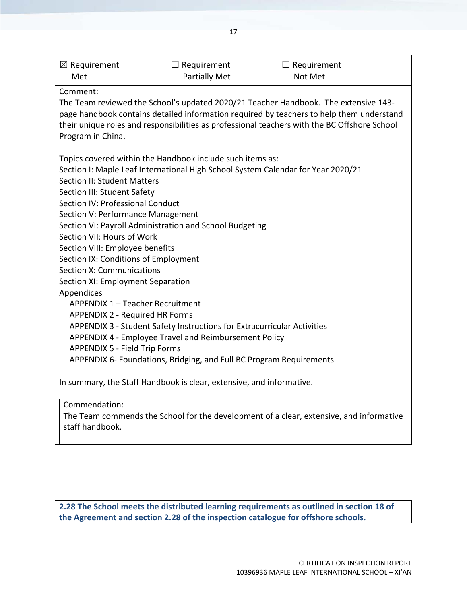| $\boxtimes$ Requirement<br>Met                                          | $\Box$ Requirement<br><b>Partially Met</b>                           | $\Box$ Requirement<br>Not Met                                                                                                                                                                                                                                                   |  |
|-------------------------------------------------------------------------|----------------------------------------------------------------------|---------------------------------------------------------------------------------------------------------------------------------------------------------------------------------------------------------------------------------------------------------------------------------|--|
| Comment:                                                                |                                                                      |                                                                                                                                                                                                                                                                                 |  |
| Program in China.                                                       |                                                                      | The Team reviewed the School's updated 2020/21 Teacher Handbook. The extensive 143-<br>page handbook contains detailed information required by teachers to help them understand<br>their unique roles and responsibilities as professional teachers with the BC Offshore School |  |
|                                                                         | Topics covered within the Handbook include such items as:            |                                                                                                                                                                                                                                                                                 |  |
|                                                                         |                                                                      | Section I: Maple Leaf International High School System Calendar for Year 2020/21                                                                                                                                                                                                |  |
| <b>Section II: Student Matters</b>                                      |                                                                      |                                                                                                                                                                                                                                                                                 |  |
| Section III: Student Safety                                             |                                                                      |                                                                                                                                                                                                                                                                                 |  |
| Section IV: Professional Conduct                                        |                                                                      |                                                                                                                                                                                                                                                                                 |  |
| Section V: Performance Management                                       |                                                                      |                                                                                                                                                                                                                                                                                 |  |
|                                                                         | Section VI: Payroll Administration and School Budgeting              |                                                                                                                                                                                                                                                                                 |  |
| Section VII: Hours of Work                                              |                                                                      |                                                                                                                                                                                                                                                                                 |  |
| Section VIII: Employee benefits                                         |                                                                      |                                                                                                                                                                                                                                                                                 |  |
| Section IX: Conditions of Employment                                    |                                                                      |                                                                                                                                                                                                                                                                                 |  |
| <b>Section X: Communications</b>                                        |                                                                      |                                                                                                                                                                                                                                                                                 |  |
| Section XI: Employment Separation                                       |                                                                      |                                                                                                                                                                                                                                                                                 |  |
| Appendices<br>APPENDIX 1 - Teacher Recruitment                          |                                                                      |                                                                                                                                                                                                                                                                                 |  |
| <b>APPENDIX 2 - Required HR Forms</b>                                   |                                                                      |                                                                                                                                                                                                                                                                                 |  |
| APPENDIX 3 - Student Safety Instructions for Extracurricular Activities |                                                                      |                                                                                                                                                                                                                                                                                 |  |
|                                                                         | APPENDIX 4 - Employee Travel and Reimbursement Policy                |                                                                                                                                                                                                                                                                                 |  |
| <b>APPENDIX 5 - Field Trip Forms</b>                                    |                                                                      |                                                                                                                                                                                                                                                                                 |  |
|                                                                         | APPENDIX 6- Foundations, Bridging, and Full BC Program Requirements  |                                                                                                                                                                                                                                                                                 |  |
|                                                                         | In summary, the Staff Handbook is clear, extensive, and informative. |                                                                                                                                                                                                                                                                                 |  |
| Commendation:                                                           |                                                                      |                                                                                                                                                                                                                                                                                 |  |
| staff handbook.                                                         |                                                                      | The Team commends the School for the development of a clear, extensive, and informative                                                                                                                                                                                         |  |

**2.28 The School meets the distributed learning requirements as outlined in section 18 of the Agreement and section 2.28 of the inspection catalogue for offshore schools.**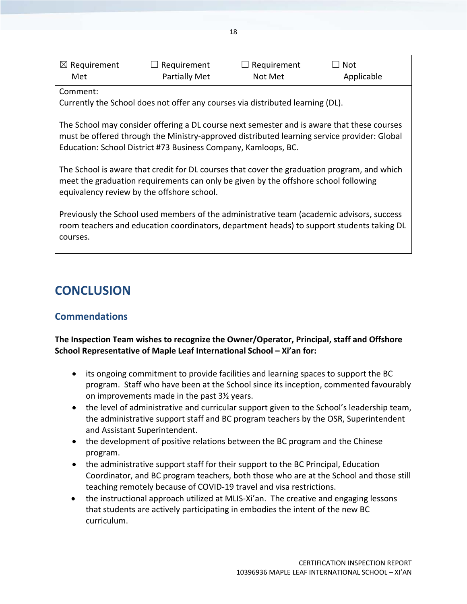| $\boxtimes$ Requirement | $\Box$ Requirement   | $\Box$ Requirement | $\Box$ Not |  |
|-------------------------|----------------------|--------------------|------------|--|
| Met                     | <b>Partially Met</b> | Not Met            | Applicable |  |

Currently the School does not offer any courses via distributed learning (DL).

The School may consider offering a DL course next semester and is aware that these courses must be offered through the Ministry‐approved distributed learning service provider: Global Education: School District #73 Business Company, Kamloops, BC.

The School is aware that credit for DL courses that cover the graduation program, and which meet the graduation requirements can only be given by the offshore school following equivalency review by the offshore school.

Previously the School used members of the administrative team (academic advisors, success room teachers and education coordinators, department heads) to support students taking DL courses.

## **CONCLUSION**

## **Commendations**

#### **The Inspection Team wishes to recognize the Owner/Operator, Principal, staff and Offshore School Representative of Maple Leaf International School – Xi'an for:**

- its ongoing commitment to provide facilities and learning spaces to support the BC program. Staff who have been at the School since its inception, commented favourably on improvements made in the past 3½ years.
- the level of administrative and curricular support given to the School's leadership team, the administrative support staff and BC program teachers by the OSR, Superintendent and Assistant Superintendent.
- the development of positive relations between the BC program and the Chinese program.
- the administrative support staff for their support to the BC Principal, Education Coordinator, and BC program teachers, both those who are at the School and those still teaching remotely because of COVID‐19 travel and visa restrictions.
- the instructional approach utilized at MLIS-Xi'an. The creative and engaging lessons that students are actively participating in embodies the intent of the new BC curriculum.